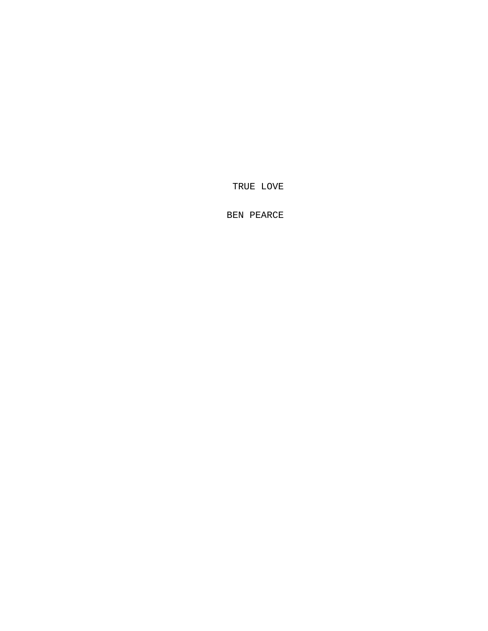TRUE LOVE

BEN PEARCE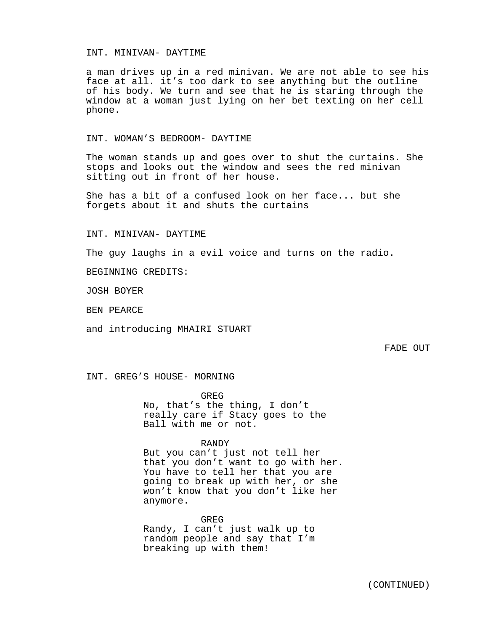## INT. MINIVAN- DAYTIME

a man drives up in a red minivan. We are not able to see his face at all. it's too dark to see anything but the outline of his body. We turn and see that he is staring through the window at a woman just lying on her bet texting on her cell phone.

INT. WOMAN'S BEDROOM- DAYTIME

The woman stands up and goes over to shut the curtains. She stops and looks out the window and sees the red minivan sitting out in front of her house.

She has a bit of a confused look on her face... but she forgets about it and shuts the curtains

INT. MINIVAN- DAYTIME

The guy laughs in a evil voice and turns on the radio.

BEGINNING CREDITS:

JOSH BOYER

BEN PEARCE

and introducing MHAIRI STUART

FADE OUT

INT. GREG'S HOUSE- MORNING

GREG

No, that's the thing, I don't really care if Stacy goes to the Ball with me or not.

RANDY

But you can't just not tell her that you don't want to go with her. You have to tell her that you are going to break up with her, or she won't know that you don't like her anymore.

GREG Randy, I can't just walk up to random people and say that I'm breaking up with them!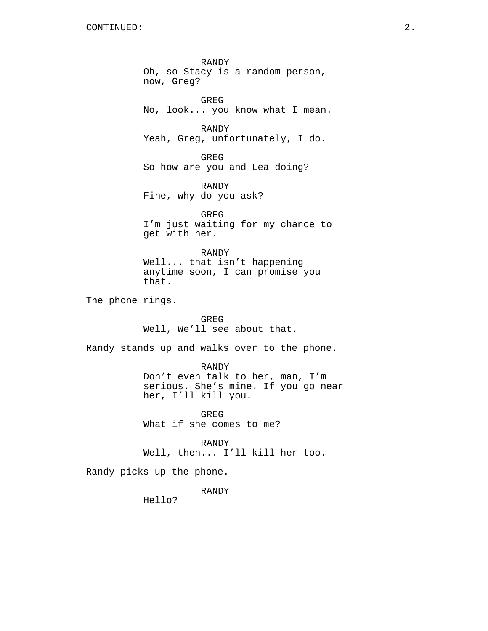RANDY Oh, so Stacy is a random person, now, Greg? GREG No, look... you know what I mean. RANDY Yeah, Greg, unfortunately, I do. GREG So how are you and Lea doing? RANDY Fine, why do you ask? GREG I'm just waiting for my chance to get with her. RANDY Well... that isn't happening anytime soon, I can promise you that. The phone rings. GREG Well, We'll see about that. Randy stands up and walks over to the phone. RANDY Don't even talk to her, man, I'm serious. She's mine. If you go near her, I'll kill you. GREG What if she comes to me? RANDY Well, then... I'll kill her too. Randy picks up the phone. RANDY Hello?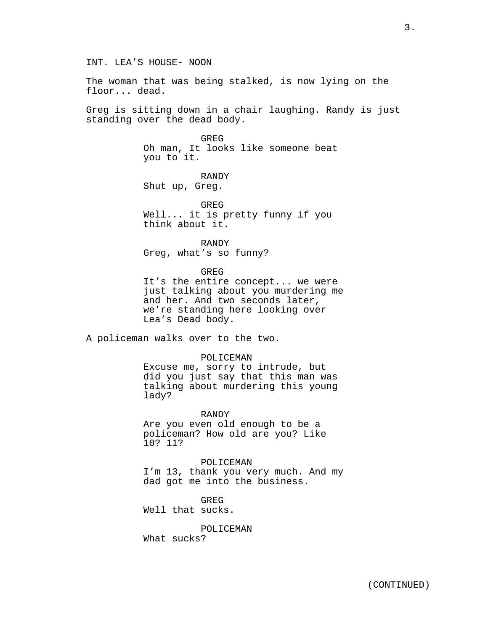The woman that was being stalked, is now lying on the floor... dead.

Greg is sitting down in a chair laughing. Randy is just standing over the dead body.

> GREG Oh man, It looks like someone beat you to it.

RANDY Shut up, Greg.

GREG Well... it is pretty funny if you think about it.

RANDY Greg, what's so funny?

**GREG** 

It's the entire concept... we were just talking about you murdering me and her. And two seconds later, we're standing here looking over Lea's Dead body.

A policeman walks over to the two.

#### POLICEMAN

Excuse me, sorry to intrude, but did you just say that this man was talking about murdering this young lady?

RANDY Are you even old enough to be a policeman? How old are you? Like 10? 11?

POLICEMAN I'm 13, thank you very much. And my dad got me into the business.

GREG Well that sucks.

POLICEMAN What sucks?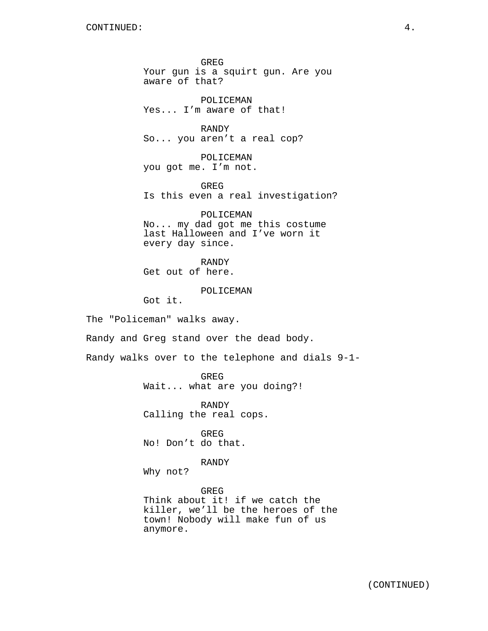GREG Your gun is a squirt gun. Are you aware of that?

POLICEMAN Yes... I'm aware of that!

RANDY So... you aren't a real cop?

POLICEMAN you got me. I'm not.

GREG Is this even a real investigation?

POLICEMAN No... my dad got me this costume last Halloween and I've worn it every day since.

RANDY Get out of here.

POLICEMAN

Got it.

The "Policeman" walks away.

Randy and Greg stand over the dead body.

Randy walks over to the telephone and dials 9-1-

GREG Wait... what are you doing?!

RANDY Calling the real cops.

GREG No! Don't do that.

RANDY

Why not?

GREG Think about it! if we catch the killer, we'll be the heroes of the town! Nobody will make fun of us anymore.

(CONTINUED)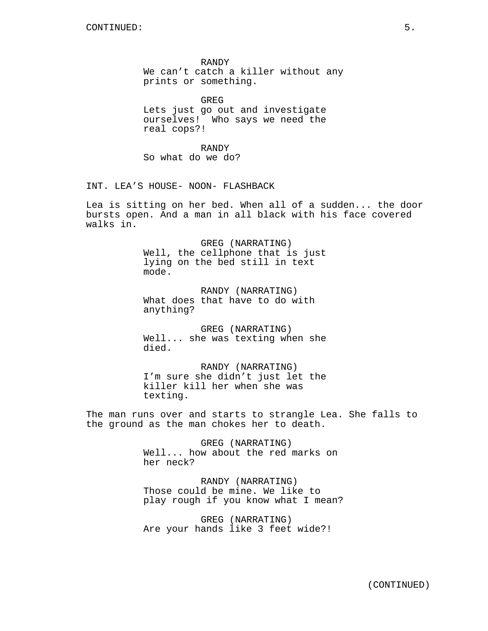RANDY We can't catch a killer without any prints or something.

GREG Lets just go out and investigate ourselves! Who says we need the real cops?!

RANDY So what do we do?

INT. LEA'S HOUSE- NOON- FLASHBACK

Lea is sitting on her bed. When all of a sudden... the door bursts open. And a man in all black with his face covered walks in.

> GREG (NARRATING) Well, the cellphone that is just lying on the bed still in text mode.

RANDY (NARRATING) What does that have to do with anything?

GREG (NARRATING) Well... she was texting when she died.

RANDY (NARRATING) I'm sure she didn't just let the killer kill her when she was texting.

The man runs over and starts to strangle Lea. She falls to the ground as the man chokes her to death.

> GREG (NARRATING) Well... how about the red marks on her neck?

RANDY (NARRATING) Those could be mine. We like to play rough if you know what I mean?

GREG (NARRATING) Are your hands like 3 feet wide?!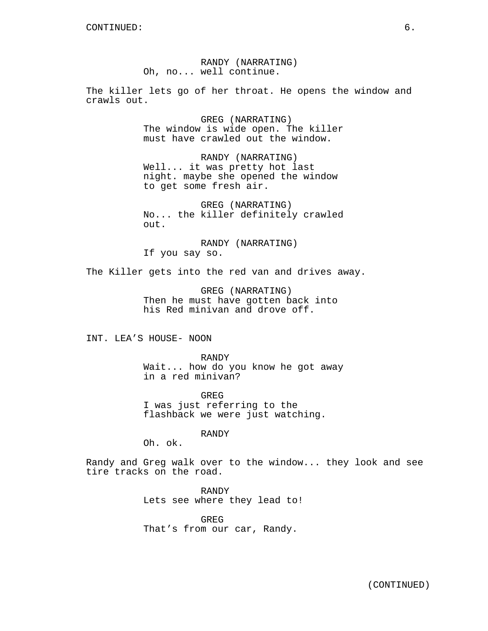RANDY (NARRATING) Oh, no... well continue.

The killer lets go of her throat. He opens the window and crawls out.

> GREG (NARRATING) The window is wide open. The killer must have crawled out the window.

RANDY (NARRATING) Well... it was pretty hot last night. maybe she opened the window to get some fresh air.

GREG (NARRATING) No... the killer definitely crawled out.

RANDY (NARRATING) If you say so.

The Killer gets into the red van and drives away.

GREG (NARRATING) Then he must have gotten back into his Red minivan and drove off.

INT. LEA'S HOUSE- NOON

RANDY Wait... how do you know he got away in a red minivan?

GREG I was just referring to the flashback we were just watching.

RANDY

Oh. ok.

Randy and Greg walk over to the window... they look and see tire tracks on the road.

> RANDY Lets see where they lead to!

GREG That's from our car, Randy.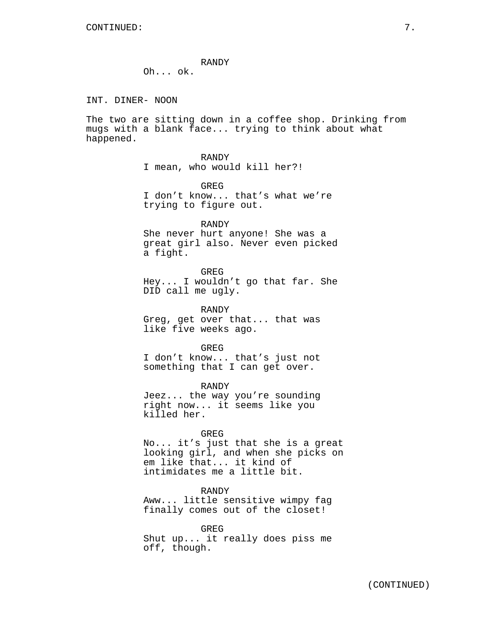## RANDY

Oh... ok.

INT. DINER- NOON

The two are sitting down in a coffee shop. Drinking from mugs with a blank face... trying to think about what happened.

> RANDY I mean, who would kill her?!

GREG I don't know... that's what we're trying to figure out.

RANDY She never hurt anyone! She was a great girl also. Never even picked a fight.

GREG Hey... I wouldn't go that far. She DID call me ugly.

RANDY Greg, get over that... that was like five weeks ago.

GREG I don't know... that's just not something that I can get over.

RANDY Jeez... the way you're sounding right now... it seems like you killed her.

## GREG

No... it's just that she is a great looking girl, and when she picks on em like that... it kind of intimidates me a little bit.

RANDY Aww... little sensitive wimpy fag finally comes out of the closet!

GREG Shut up... it really does piss me off, though.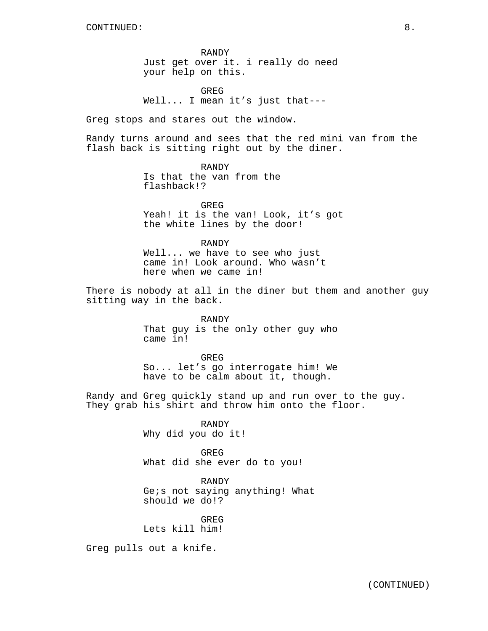RANDY Just get over it. i really do need your help on this.

GREG Well... I mean it's just that---

Greg stops and stares out the window.

Randy turns around and sees that the red mini van from the flash back is sitting right out by the diner.

> RANDY Is that the van from the flashback!?

GREG Yeah! it is the van! Look, it's got the white lines by the door!

RANDY Well... we have to see who just came in! Look around. Who wasn't here when we came in!

There is nobody at all in the diner but them and another guy sitting way in the back.

> RANDY That guy is the only other guy who came in!

> GREG So... let's go interrogate him! We have to be calm about it, though.

Randy and Greg quickly stand up and run over to the guy. They grab his shirt and throw him onto the floor.

> RANDY Why did you do it!

GREG What did she ever do to you!

RANDY Ge;s not saying anything! What should we do!?

GREG Lets kill him!

Greg pulls out a knife.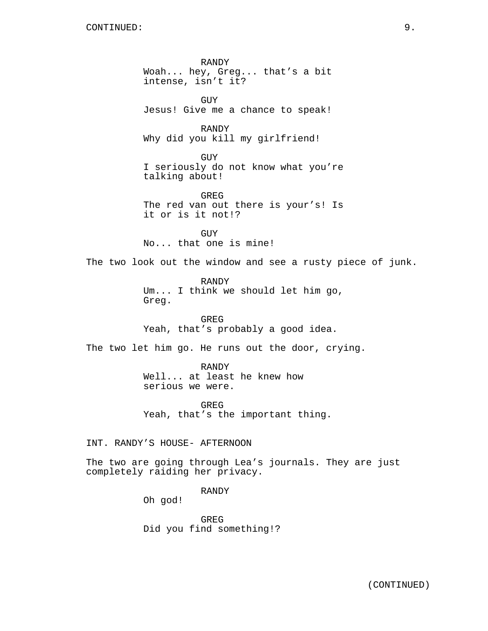RANDY Woah... hey, Greg... that's a bit intense, isn't it? GUY Jesus! Give me a chance to speak! RANDY Why did you kill my girlfriend! GUY I seriously do not know what you're talking about! GREG The red van out there is your's! Is it or is it not!? GUY No... that one is mine! The two look out the window and see a rusty piece of junk. RANDY Um... I think we should let him go, Greg. GREG Yeah, that's probably a good idea. The two let him go. He runs out the door, crying. RANDY Well... at least he knew how serious we were. GREG Yeah, that's the important thing. INT. RANDY'S HOUSE- AFTERNOON The two are going through Lea's journals. They are just completely raiding her privacy. RANDY Oh god!

> GREG Did you find something!?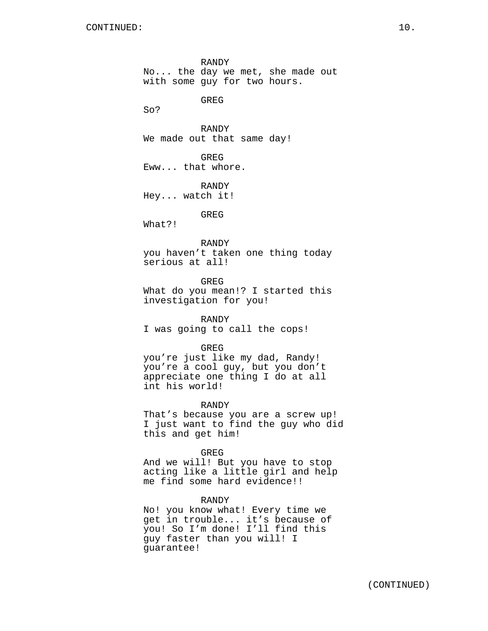RANDY No... the day we met, she made out with some guy for two hours.

GREG

So?

RANDY We made out that same day!

GREG Eww... that whore.

RANDY Hey... watch it!

GREG

What?!

RANDY

you haven't taken one thing today serious at all!

GREG What do you mean!? I started this investigation for you!

RANDY I was going to call the cops!

GREG

you're just like my dad, Randy! you're a cool guy, but you don't appreciate one thing I do at all int his world!

RANDY

That's because you are a screw up! I just want to find the guy who did this and get him!

GREG

And we will! But you have to stop acting like a little girl and help me find some hard evidence!!

RANDY

No! you know what! Every time we get in trouble... it's because of you! So I'm done! I'll find this guy faster than you will! I guarantee!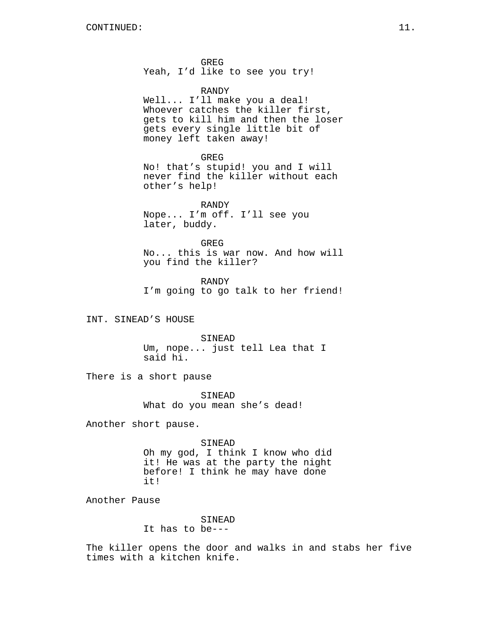GREG Yeah, I'd like to see you try!

## RANDY

Well... I'll make you a deal! Whoever catches the killer first, gets to kill him and then the loser gets every single little bit of money left taken away!

#### GREG

No! that's stupid! you and I will never find the killer without each other's help!

RANDY Nope... I'm off. I'll see you later, buddy.

GREG No... this is war now. And how will you find the killer?

RANDY I'm going to go talk to her friend!

INT. SINEAD'S HOUSE

SINEAD Um, nope... just tell Lea that I said hi.

There is a short pause

SINEAD What do you mean she's dead!

Another short pause.

SINEAD Oh my god, I think I know who did it! He was at the party the night before! I think he may have done it!

Another Pause

# SINEAD

It has to be---

The killer opens the door and walks in and stabs her five times with a kitchen knife.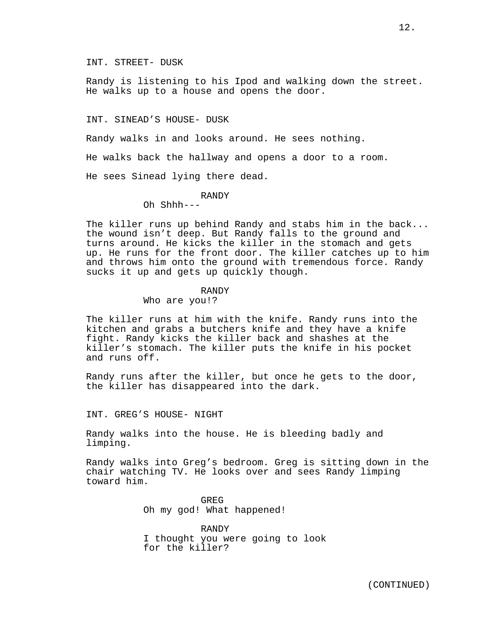Randy is listening to his Ipod and walking down the street. He walks up to a house and opens the door.

INT. SINEAD'S HOUSE- DUSK

Randy walks in and looks around. He sees nothing.

He walks back the hallway and opens a door to a room.

He sees Sinead lying there dead.

RANDY

Oh Shhh---

The killer runs up behind Randy and stabs him in the back... the wound isn't deep. But Randy falls to the ground and turns around. He kicks the killer in the stomach and gets up. He runs for the front door. The killer catches up to him and throws him onto the ground with tremendous force. Randy sucks it up and gets up quickly though.

#### RANDY

Who are you!?

The killer runs at him with the knife. Randy runs into the kitchen and grabs a butchers knife and they have a knife fight. Randy kicks the killer back and shashes at the killer's stomach. The killer puts the knife in his pocket and runs off.

Randy runs after the killer, but once he gets to the door, the killer has disappeared into the dark.

INT. GREG'S HOUSE- NIGHT

Randy walks into the house. He is bleeding badly and limping.

Randy walks into Greg's bedroom. Greg is sitting down in the chair watching TV. He looks over and sees Randy limping toward him.

> GREG Oh my god! What happened!

RANDY I thought you were going to look for the killer?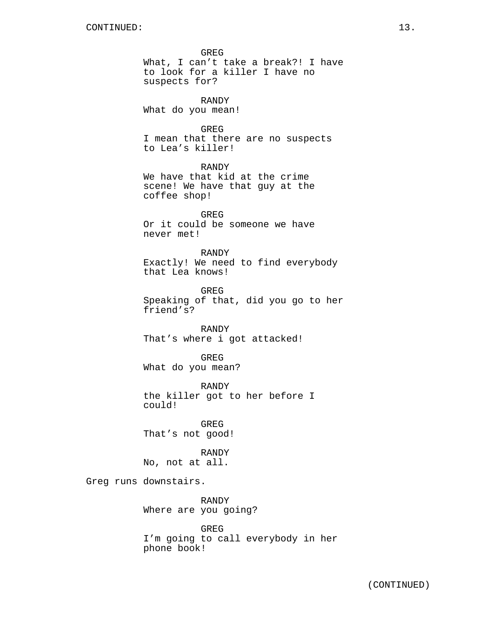GREG What, I can't take a break?! I have to look for a killer I have no suspects for? RANDY What do you mean! GREG I mean that there are no suspects to Lea's killer! RANDY We have that kid at the crime scene! We have that guy at the coffee shop! GREG Or it could be someone we have never met! RANDY Exactly! We need to find everybody that Lea knows! GREG Speaking of that, did you go to her friend's? RANDY That's where i got attacked! GREG What do you mean? RANDY the killer got to her before I could! GREG That's not good! RANDY No, not at all. Greg runs downstairs. RANDY Where are you going? GREG

I'm going to call everybody in her phone book!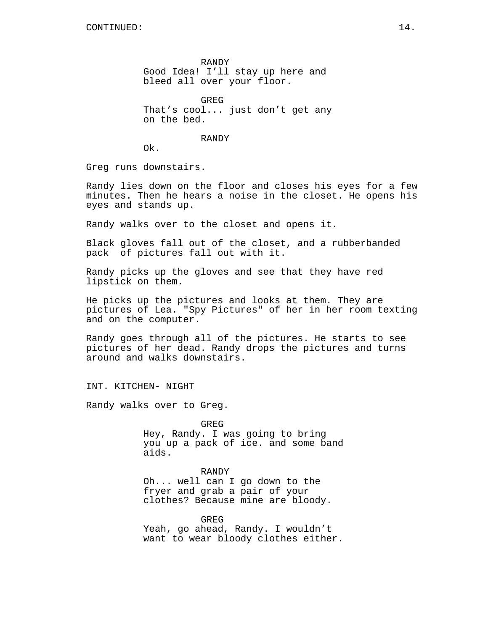RANDY Good Idea! I'll stay up here and bleed all over your floor.

GREG That's cool... just don't get any on the bed.

RANDY

Ok.

Greg runs downstairs.

Randy lies down on the floor and closes his eyes for a few minutes. Then he hears a noise in the closet. He opens his eyes and stands up.

Randy walks over to the closet and opens it.

Black gloves fall out of the closet, and a rubberbanded pack of pictures fall out with it.

Randy picks up the gloves and see that they have red lipstick on them.

He picks up the pictures and looks at them. They are pictures of Lea. "Spy Pictures" of her in her room texting and on the computer.

Randy goes through all of the pictures. He starts to see pictures of her dead. Randy drops the pictures and turns around and walks downstairs.

INT. KITCHEN- NIGHT

Randy walks over to Greg.

GREG

Hey, Randy. I was going to bring you up a pack of ice. and some band aids.

## RANDY

Oh... well can I go down to the fryer and grab a pair of your clothes? Because mine are bloody.

GREG Yeah, go ahead, Randy. I wouldn't want to wear bloody clothes either.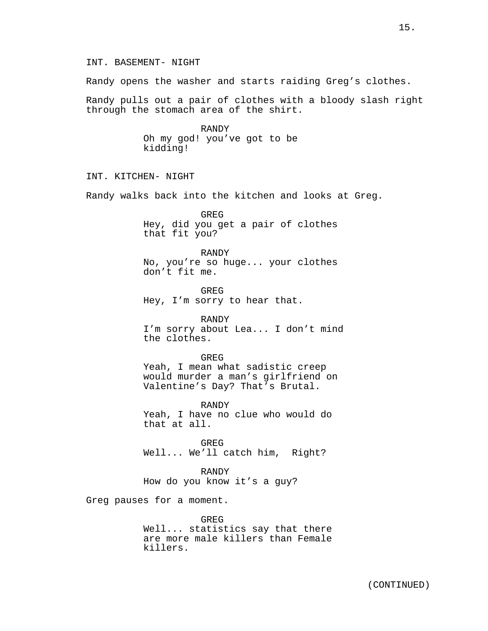Randy opens the washer and starts raiding Greg's clothes.

Randy pulls out a pair of clothes with a bloody slash right through the stomach area of the shirt.

> RANDY Oh my god! you've got to be kidding!

INT. KITCHEN- NIGHT

Randy walks back into the kitchen and looks at Greg.

GREG Hey, did you get a pair of clothes that fit you?

RANDY No, you're so huge... your clothes don't fit me.

**GREG** Hey, I'm sorry to hear that.

RANDY I'm sorry about Lea... I don't mind the clothes.

GREG Yeah, I mean what sadistic creep would murder a man's girlfriend on Valentine's Day? That's Brutal.

RANDY Yeah, I have no clue who would do that at all.

GREG Well... We'll catch him, Right?

RANDY How do you know it's a guy?

Greg pauses for a moment.

GREG Well... statistics say that there are more male killers than Female killers.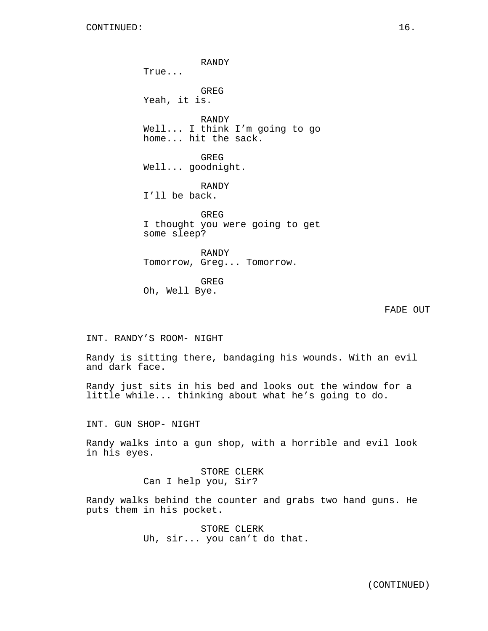RANDY True... GREG Yeah, it is. RANDY Well... I think I'm going to go home... hit the sack. GREG Well... goodnight. RANDY I'll be back. GREG I thought you were going to get some sleep? RANDY Tomorrow, Greg... Tomorrow. GREG Oh, Well Bye.

FADE OUT

INT. RANDY'S ROOM- NIGHT

Randy is sitting there, bandaging his wounds. With an evil and dark face.

Randy just sits in his bed and looks out the window for a little while... thinking about what he's going to do.

INT. GUN SHOP- NIGHT

Randy walks into a gun shop, with a horrible and evil look in his eyes.

> STORE CLERK Can I help you, Sir?

Randy walks behind the counter and grabs two hand guns. He puts them in his pocket.

> STORE CLERK Uh, sir... you can't do that.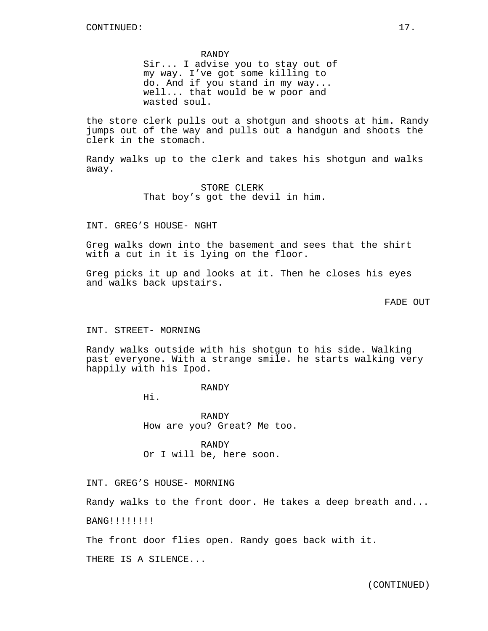#### RANDY

Sir... I advise you to stay out of my way. I've got some killing to do. And if you stand in my way... well... that would be w poor and wasted soul.

the store clerk pulls out a shotgun and shoots at him. Randy jumps out of the way and pulls out a handgun and shoots the clerk in the stomach.

Randy walks up to the clerk and takes his shotgun and walks away.

> STORE CLERK That boy's got the devil in him.

# INT. GREG'S HOUSE- NGHT

Greg walks down into the basement and sees that the shirt with a cut in it is lying on the floor.

Greg picks it up and looks at it. Then he closes his eyes and walks back upstairs.

FADE OUT

#### INT. STREET- MORNING

Randy walks outside with his shotgun to his side. Walking past everyone. With a strange smile. he starts walking very happily with his Ipod.

#### RANDY

Hi.

RANDY How are you? Great? Me too.

RANDY Or I will be, here soon.

INT. GREG'S HOUSE- MORNING

Randy walks to the front door. He takes a deep breath and...

BANG!!!!!!!!

The front door flies open. Randy goes back with it.

THERE IS A SILENCE...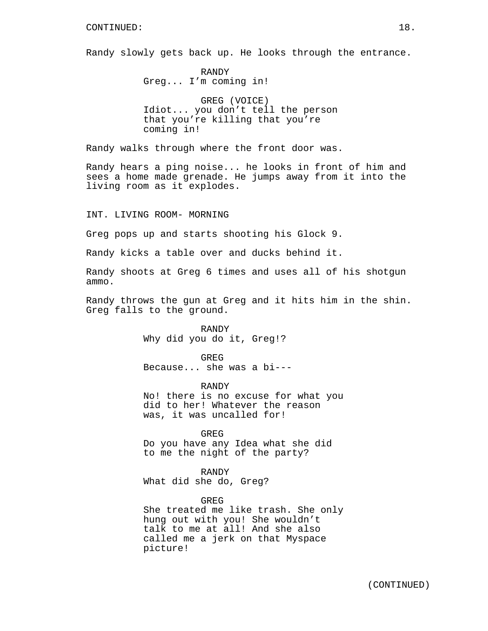Randy slowly gets back up. He looks through the entrance.

RANDY Greg... I'm coming in!

GREG (VOICE) Idiot... you don't tell the person that you're killing that you're coming in!

Randy walks through where the front door was.

Randy hears a ping noise... he looks in front of him and sees a home made grenade. He jumps away from it into the living room as it explodes.

INT. LIVING ROOM- MORNING

Greg pops up and starts shooting his Glock 9.

Randy kicks a table over and ducks behind it.

Randy shoots at Greg 6 times and uses all of his shotgun ammo.

Randy throws the gun at Greg and it hits him in the shin. Greg falls to the ground.

> RANDY Why did you do it, Greg!?

GREG Because... she was a bi---

RANDY No! there is no excuse for what you did to her! Whatever the reason was, it was uncalled for!

GREG

Do you have any Idea what she did to me the night of the party?

RANDY What did she do, Greg?

#### GREG

She treated me like trash. She only hung out with you! She wouldn't talk to me at all! And she also called me a jerk on that Myspace picture!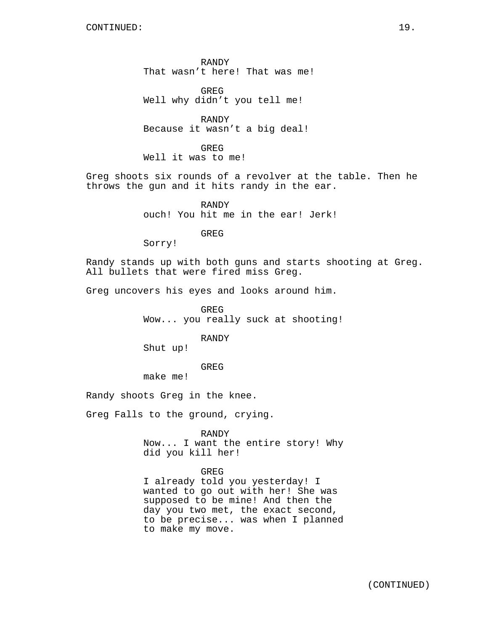RANDY That wasn't here! That was me!

**GREG** Well why didn't you tell me!

RANDY Because it wasn't a big deal!

GREG Well it was to me!

Greg shoots six rounds of a revolver at the table. Then he throws the gun and it hits randy in the ear.

> RANDY ouch! You hit me in the ear! Jerk!

> > GREG

Sorry!

Randy stands up with both guns and starts shooting at Greg. All bullets that were fired miss Greg.

Greg uncovers his eyes and looks around him.

GREG Wow... you really suck at shooting!

RANDY

Shut up!

GREG

make me!

Randy shoots Greg in the knee.

Greg Falls to the ground, crying.

RANDY

Now... I want the entire story! Why did you kill her!

## GREG

I already told you yesterday! I wanted to go out with her! She was supposed to be mine! And then the day you two met, the exact second, to be precise... was when I planned to make my move.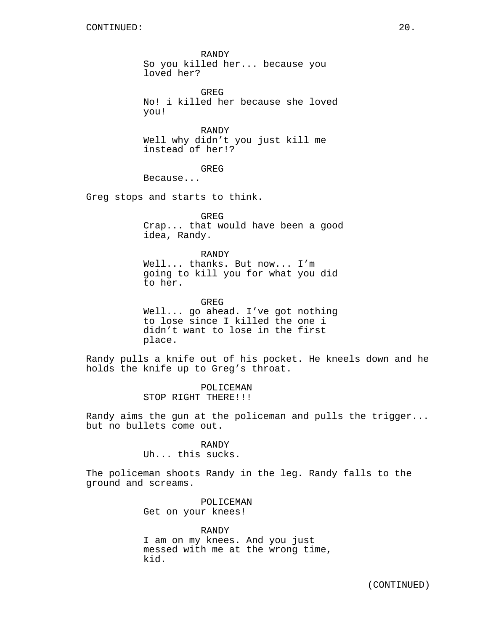RANDY So you killed her... because you loved her?

GREG No! i killed her because she loved you!

RANDY Well why didn't you just kill me instead of her!?

GREG

Because...

Greg stops and starts to think.

GREG Crap... that would have been a good idea, Randy.

RANDY Well... thanks. But now... I'm going to kill you for what you did to her.

GREG Well... go ahead. I've got nothing to lose since I killed the one i didn't want to lose in the first place.

Randy pulls a knife out of his pocket. He kneels down and he holds the knife up to Greg's throat.

> POLICEMAN STOP RIGHT THERE!!!

Randy aims the gun at the policeman and pulls the trigger... but no bullets come out.

> RANDY Uh... this sucks.

The policeman shoots Randy in the leg. Randy falls to the ground and screams.

> POLICEMAN Get on your knees!

RANDY I am on my knees. And you just messed with me at the wrong time, kid.

(CONTINUED)